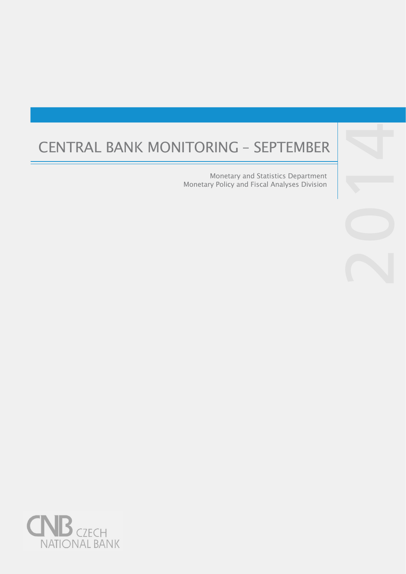# CENTRAL BANK MONITORING – SEPTEMBER 4

Monetary and Statistics Department Monetary Policy and Fiscal Analyses Division



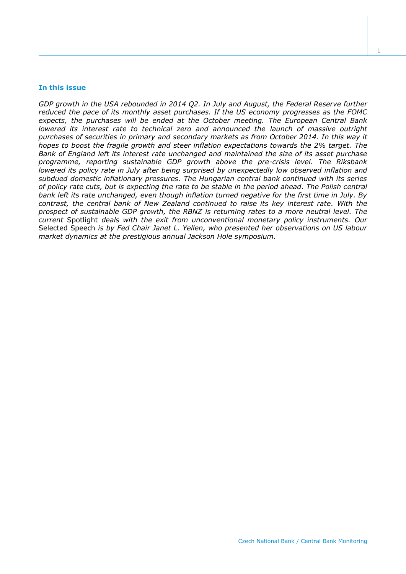#### **In this issue**

*GDP growth in the USA rebounded in 2014 Q2. In July and August, the Federal Reserve further reduced the pace of its monthly asset purchases. If the US economy progresses as the FOMC expects, the purchases will be ended at the October meeting. The European Central Bank lowered its interest rate to technical zero and announced the launch of massive outright purchases of securities in primary and secondary markets as from October 2014. In this way it hopes to boost the fragile growth and steer inflation expectations towards the 2% target. The Bank of England left its interest rate unchanged and maintained the size of its asset purchase programme, reporting sustainable GDP growth above the pre-crisis level. The Riksbank lowered its policy rate in July after being surprised by unexpectedly low observed inflation and subdued domestic inflationary pressures. The Hungarian central bank continued with its series of policy rate cuts, but is expecting the rate to be stable in the period ahead. The Polish central bank left its rate unchanged, even though inflation turned negative for the first time in July. By contrast, the central bank of New Zealand continued to raise its key interest rate. With the prospect of sustainable GDP growth, the RBNZ is returning rates to a more neutral level. The current* Spotlight *deals with the exit from unconventional monetary policy instruments. Our*  Selected Speech *is by Fed Chair Janet L. Yellen, who presented her observations on US labour market dynamics at the prestigious annual Jackson Hole symposium.*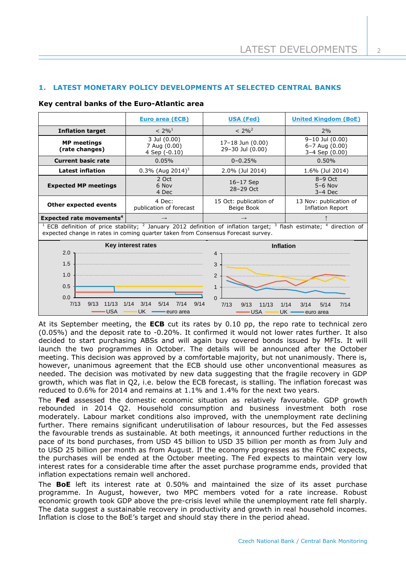$\overline{\mathcal{L}}$ 

# **1. LATEST MONETARY POLICY DEVELOPMENTS AT SELECTED CENTRAL BANKS**

|                                                                                                                                                                                                                                                      | <b>Euro area (ECB)</b>                        | <u>USA (Fed)</u>                                                              | <b>United Kingdom (BoE)</b>                         |  |
|------------------------------------------------------------------------------------------------------------------------------------------------------------------------------------------------------------------------------------------------------|-----------------------------------------------|-------------------------------------------------------------------------------|-----------------------------------------------------|--|
| <b>Inflation target</b>                                                                                                                                                                                                                              | $< 2\%^{1}$                                   | $< 2\%^{2}$                                                                   | 2%                                                  |  |
| <b>MP</b> meetings<br>(rate changes)                                                                                                                                                                                                                 | 3 Jul (0.00)<br>7 Aug (0.00)<br>4 Sep (-0.10) | 17-18 Jun (0.00)<br>29-30 Jul (0.00)                                          | 9-10 Jul (0.00)<br>6-7 Aug (0.00)<br>3-4 Sep (0.00) |  |
| <b>Current basic rate</b>                                                                                                                                                                                                                            | 0.05%                                         | $0 - 0.25%$                                                                   | 0.50%                                               |  |
| <b>Latest inflation</b>                                                                                                                                                                                                                              | $0.3\%$ (Aug 2014) <sup>3</sup>               | 2.0% (Jul 2014)                                                               | 1.6% (Jul 2014)                                     |  |
| <b>Expected MP meetings</b>                                                                                                                                                                                                                          | 2 Oct<br>6 Nov<br>4 Dec                       | 16-17 Sep<br>28-29 Oct                                                        | $8-9$ Oct<br>$5-6$ Nov<br>$3-4$ Dec                 |  |
| Other expected events                                                                                                                                                                                                                                | 4 Dec:<br>publication of forecast             | 15 Oct: publication of<br>Beige Book                                          | 13 Nov: publication of<br><b>Inflation Report</b>   |  |
| Expected rate movements <sup>4</sup>                                                                                                                                                                                                                 |                                               |                                                                               |                                                     |  |
| <sup>1</sup> ECB definition of price stability; <sup>2</sup> January 2012 definition of inflation target; <sup>3</sup> flash estimate; <sup>4</sup> direction of<br>expected change in rates in coming quarter taken from Consensus Forecast survey. |                                               |                                                                               |                                                     |  |
| 2.0                                                                                                                                                                                                                                                  | Key interest rates<br>Inflation               |                                                                               |                                                     |  |
| 1.5<br>1.0<br>0.5<br>0.0<br>7/13<br>9/13<br>11/13                                                                                                                                                                                                    | 1/14<br>3/14<br>5/14<br>9/14<br>7/14          | 4<br>3<br>$\overline{2}$<br>$\mathbf{1}$<br>$\Omega$<br>7/13<br>9/13<br>11/13 | 3/14<br>1/14<br>5/14<br>7/14                        |  |
| <b>USA</b>                                                                                                                                                                                                                                           | <b>UK</b><br>euro area                        | <b>USA</b>                                                                    | UK -<br>euro area                                   |  |

#### **Key central banks of the Euro-Atlantic area**

٦

At its September meeting, the **ECB** cut its rates by 0.10 pp, the repo rate to technical zero (0.05%) and the deposit rate to -0.20%. It confirmed it would not lower rates further. It also decided to start purchasing ABSs and will again buy covered bonds issued by MFIs. It will launch the two programmes in October. The details will be announced after the October meeting. This decision was approved by a comfortable majority, but not unanimously. There is, however, unanimous agreement that the ECB should use other unconventional measures as needed. The decision was motivated by new data suggesting that the fragile recovery in GDP growth, which was flat in Q2, i.e. below the ECB forecast, is stalling. The inflation forecast was reduced to 0.6% for 2014 and remains at 1.1% and 1.4% for the next two years.

The **Fed** assessed the domestic economic situation as relatively favourable. GDP growth rebounded in 2014 Q2. Household consumption and business investment both rose moderately. Labour market conditions also improved, with the unemployment rate declining further. There remains significant underutilisation of labour resources, but the Fed assesses the favourable trends as sustainable. At both meetings, it announced further reductions in the pace of its bond purchases, from USD 45 billion to USD 35 billion per month as from July and to USD 25 billion per month as from August. If the economy progresses as the FOMC expects, the purchases will be ended at the October meeting. The Fed expects to maintain very low interest rates for a considerable time after the asset purchase programme ends, provided that inflation expectations remain well anchored.

The **BoE** left its interest rate at 0.50% and maintained the size of its asset purchase programme. In August, however, two MPC members voted for a rate increase. Robust economic growth took GDP above the pre-crisis level while the unemployment rate fell sharply. The data suggest a sustainable recovery in productivity and growth in real household incomes. Inflation is close to the BoE's target and should stay there in the period ahead.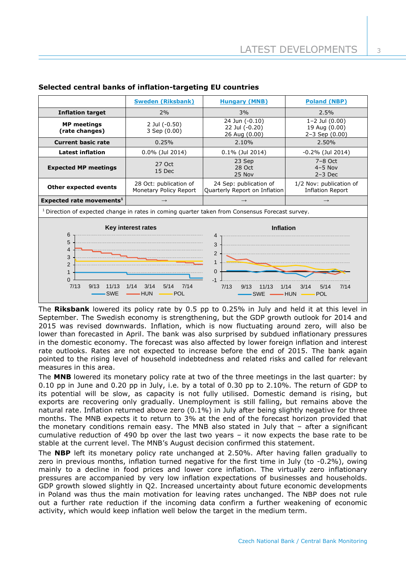|                                                                                                                                                                                                                                                                                                                                             | <b>Sweden (Riksbank)</b>                         | <b>Hungary (MNB)</b>                                    | <b>Poland (NBP)</b>                                           |  |
|---------------------------------------------------------------------------------------------------------------------------------------------------------------------------------------------------------------------------------------------------------------------------------------------------------------------------------------------|--------------------------------------------------|---------------------------------------------------------|---------------------------------------------------------------|--|
| <b>Inflation target</b>                                                                                                                                                                                                                                                                                                                     | 2%                                               | 3%                                                      | 2.5%                                                          |  |
| <b>MP</b> meetings<br>(rate changes)                                                                                                                                                                                                                                                                                                        | 2 Jul (-0.50)<br>3 Sep (0.00)                    | 24 Jun (-0.10)<br>22 Jul (-0.20)<br>26 Aug (0.00)       | $1 - 2$ Jul $(0.00)$<br>19 Aug (0.00)<br>$2 - 3$ Sep $(0.00)$ |  |
| <b>Current basic rate</b>                                                                                                                                                                                                                                                                                                                   | 0.25%                                            | 2.10%                                                   | 2.50%                                                         |  |
| <b>Latest inflation</b>                                                                                                                                                                                                                                                                                                                     | 0.0% (Jul 2014)                                  | 0.1% (Jul 2014)                                         | $-0.2\%$ (Jul 2014)                                           |  |
| <b>Expected MP meetings</b>                                                                                                                                                                                                                                                                                                                 | 27 Oct<br>15 Dec                                 | 23 Sep<br>28 Oct<br>25 Nov                              | $7-8$ Oct<br>$4-5$ Nov<br>$2-3$ Dec                           |  |
| <b>Other expected events</b>                                                                                                                                                                                                                                                                                                                | 28 Oct: publication of<br>Monetary Policy Report | 24 Sep: publication of<br>Quarterly Report on Inflation | 1/2 Nov: publication of<br><b>Inflation Report</b>            |  |
| Expected rate movements <sup>1</sup>                                                                                                                                                                                                                                                                                                        | $\rightarrow$                                    | $\rightarrow$<br>$\rightarrow$                          |                                                               |  |
| <sup>1</sup> Direction of expected change in rates in coming quarter taken from Consensus Forecast survey.                                                                                                                                                                                                                                  |                                                  |                                                         |                                                               |  |
| Key interest rates<br><b>Inflation</b><br>6<br>4<br>5<br>3<br>4<br>$\overline{2}$<br>3<br>$\mathbf{1}$<br>2<br>$\mathbf 0$<br>1<br>$\Omega$<br>$-1$<br>7/13<br>3/14<br>5/14<br>9/13<br>11/13<br>1/14<br>7/14<br>7/13<br>9/13<br>11/13<br>1/14<br>3/14<br>5/14<br>7/14<br><b>SWE</b><br><b>HUN</b><br>POL<br><b>SWE</b><br><b>HUN</b><br>POL |                                                  |                                                         |                                                               |  |

# **Selected central banks of inflation-targeting EU countries**

The **Riksbank** lowered its policy rate by 0.5 pp to 0.25% in July and held it at this level in September. The Swedish economy is strengthening, but the GDP growth outlook for 2014 and 2015 was revised downwards. Inflation, which is now fluctuating around zero, will also be lower than forecasted in April. The bank was also surprised by subdued inflationary pressures in the domestic economy. The forecast was also affected by lower foreign inflation and interest rate outlooks. Rates are not expected to increase before the end of 2015. The bank again pointed to the rising level of household indebtedness and related risks and called for relevant measures in this area.

The **MNB** lowered its monetary policy rate at two of the three meetings in the last quarter: by 0.10 pp in June and 0.20 pp in July, i.e. by a total of 0.30 pp to 2.10%. The return of GDP to its potential will be slow, as capacity is not fully utilised. Domestic demand is rising, but exports are recovering only gradually. Unemployment is still falling, but remains above the natural rate. Inflation returned above zero (0.1%) in July after being slightly negative for three months. The MNB expects it to return to 3% at the end of the forecast horizon provided that the monetary conditions remain easy. The MNB also stated in July that – after a significant cumulative reduction of 490 bp over the last two years – it now expects the base rate to be stable at the current level. The MNB's August decision confirmed this statement.

The **NBP** left its monetary policy rate unchanged at 2.50%. After having fallen gradually to zero in previous months, inflation turned negative for the first time in July (to -0.2%), owing mainly to a decline in food prices and lower core inflation. The virtually zero inflationary pressures are accompanied by very low inflation expectations of businesses and households. GDP growth slowed slightly in Q2. Increased uncertainty about future economic developments in Poland was thus the main motivation for leaving rates unchanged. The NBP does not rule out a further rate reduction if the incoming data confirm a further weakening of economic activity, which would keep inflation well below the target in the medium term.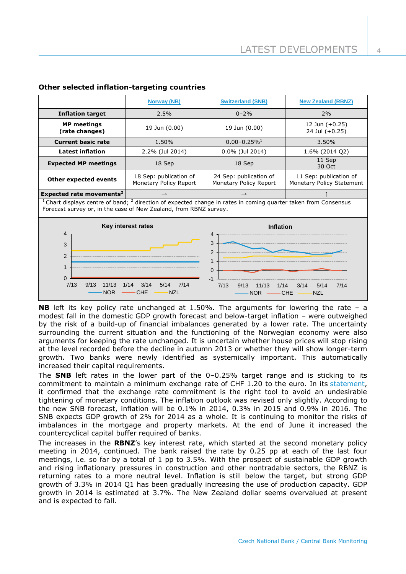|                                                                                                                                                                                                                               | <b>Norway (NB)</b>                               | <b>Switzerland (SNB)</b>                         | <b>New Zealand (RBNZ)</b>                           |  |
|-------------------------------------------------------------------------------------------------------------------------------------------------------------------------------------------------------------------------------|--------------------------------------------------|--------------------------------------------------|-----------------------------------------------------|--|
| <b>Inflation target</b>                                                                                                                                                                                                       | 2.5%                                             | $0 - 2\%$                                        | 2%                                                  |  |
| <b>MP</b> meetings<br>(rate changes)                                                                                                                                                                                          | 19 Jun (0.00)                                    | 19 Jun (0.00)                                    | 12 Jun $(+0.25)$<br>24 Jul (+0.25)                  |  |
| <b>Current basic rate</b>                                                                                                                                                                                                     | 1.50%                                            | $0.00 - 0.25\%$ <sup>1</sup>                     | 3.50%                                               |  |
| <b>Latest inflation</b>                                                                                                                                                                                                       | 2.2% (Jul 2014)                                  | 0.0% (Jul 2014)                                  | 1.6% (2014 Q2)                                      |  |
| <b>Expected MP meetings</b>                                                                                                                                                                                                   | 18 Sep                                           | 18 Sep                                           | 11 Sep<br>30 Oct                                    |  |
| Other expected events                                                                                                                                                                                                         | 18 Sep: publication of<br>Monetary Policy Report | 24 Sep: publication of<br>Monetary Policy Report | 11 Sep: publication of<br>Monetary Policy Statement |  |
| Expected rate movements <sup>2</sup>                                                                                                                                                                                          | $\rightarrow$                                    | $\rightarrow$                                    |                                                     |  |
| <sup>1</sup> Chart displays centre of band; $^2$ direction of expected change in rates in coming quarter taken from Consensus<br>Forecast survey or, in the case of New Zealand, from RBNZ survey.                            |                                                  |                                                  |                                                     |  |
| Key interest rates                                                                                                                                                                                                            |                                                  | <b>Inflation</b>                                 |                                                     |  |
| 4<br>4<br>3<br>3<br>2<br>$\overline{2}$<br>$\mathbf{1}$<br>$\mathbf{1}$<br>$\mathbf{0}$<br>$\Omega$<br>$-1$<br>7/13<br>9/13<br>11/13<br>3/14<br>7/14<br>1/14<br>5/14<br>7/13<br>3/14<br>5/14<br>11/13<br>9/13<br>1/14<br>7/14 |                                                  |                                                  |                                                     |  |

## **Other selected inflation-targeting countries**

**NB** left its key policy rate unchanged at 1.50%. The arguments for lowering the rate – a modest fall in the domestic GDP growth forecast and below-target inflation – were outweighed by the risk of a build-up of financial imbalances generated by a lower rate. The uncertainty surrounding the current situation and the functioning of the Norwegian economy were also arguments for keeping the rate unchanged. It is uncertain whether house prices will stop rising at the level recorded before the decline in autumn 2013 or whether they will show longer-term growth. Two banks were newly identified as systemically important. This automatically increased their capital requirements.

The **SNB** left rates in the lower part of the 0–0.25% target range and is sticking to its commitment to maintain a minimum exchange rate of CHF 1.20 to the euro. In its [statement,](http://www.snb.ch/en/mmr/reference/pre_20140619_1/source/pre_20140619_1.en.pdf) it confirmed that the exchange rate commitment is the right tool to avoid an undesirable tightening of monetary conditions. The inflation outlook was revised only slightly. According to the new SNB forecast, inflation will be 0.1% in 2014, 0.3% in 2015 and 0.9% in 2016. The SNB expects GDP growth of 2% for 2014 as a whole. It is continuing to monitor the risks of imbalances in the mortgage and property markets. At the end of June it increased the countercyclical capital buffer required of banks.

The increases in the **RBNZ**'s key interest rate, which started at the second monetary policy meeting in 2014, continued. The bank raised the rate by 0.25 pp at each of the last four meetings, i.e. so far by a total of 1 pp to 3.5%. With the prospect of sustainable GDP growth and rising inflationary pressures in construction and other nontradable sectors, the RBNZ is returning rates to a more neutral level. Inflation is still below the target, but strong GDP growth of 3.3% in 2014 Q1 has been gradually increasing the use of production capacity. GDP growth in 2014 is estimated at 3.7%. The New Zealand dollar seems overvalued at present and is expected to fall.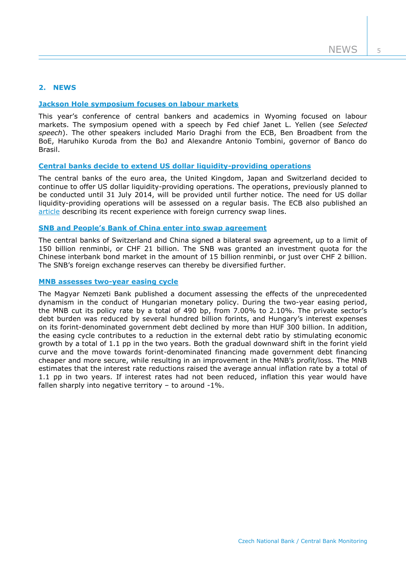## **2. NEWS**

## **[Jackson Hole symposium focuses on labour markets](http://www.kc.frb.org/publications/research/escp/escp-2014.cfm)**

This year's conference of central bankers and academics in Wyoming focused on labour markets. The symposium opened with a speech by Fed chief Janet L. Yellen (see *Selected speech*). The other speakers included Mario Draghi from the ECB, Ben Broadbent from the BoE, Haruhiko Kuroda from the BoJ and Alexandre Antonio Tombini, governor of Banco do Brasil.

#### **[Central banks decide to extend US dollar liquidity-providing operations](http://www.ecb.europa.eu/press/pr/date/2014/html/pr140617.en.html)**

The central banks of the euro area, the United Kingdom, Japan and Switzerland decided to continue to offer US dollar liquidity-providing operations. The operations, previously planned to be conducted until 31 July 2014, will be provided until further notice. The need for US dollar liquidity-providing operations will be assessed on a regular basis. The ECB also published an [article](http://www.ecb.europa.eu/pub/pdf/other/art1_mb201408_pp65-82en.pdf) describing its recent experience with foreign currency swap lines.

## **SNB [and People's Bank of China enter into swap agreement](http://www.snb.ch/en/mmr/reference/pre_20140721/source/pre_20140721.en.pdf)**

The central banks of Switzerland and China signed a bilateral swap agreement, up to a limit of 150 billion renminbi, or CHF 21 billion. The SNB was granted an investment quota for the Chinese interbank bond market in the amount of 15 billion renminbi, or just over CHF 2 billion. The SNB's foreign exchange reserves can thereby be diversified further.

## **[MNB assesses two-year easing cycle](http://english.mnb.hu/Root/Dokumentumtar/ENMNB/Monetaris_politika/mnben_monetaristanacs/mnben_monet_kozlem/Kamatcsokkentesi_EN_.pdf)**

The Magyar Nemzeti Bank published a document assessing the effects of the unprecedented dynamism in the conduct of Hungarian monetary policy. During the two-year easing period, the MNB cut its policy rate by a total of 490 bp, from 7.00% to 2.10%. The private sector's debt burden was reduced by several hundred billion forints, and Hungary's interest expenses on its forint-denominated government debt declined by more than HUF 300 billion. In addition, the easing cycle contributes to a reduction in the external debt ratio by stimulating economic growth by a total of 1.1 pp in the two years. Both the gradual downward shift in the forint yield curve and the move towards forint-denominated financing made government debt financing cheaper and more secure, while resulting in an improvement in the MNB's profit/loss. The MNB estimates that the interest rate reductions raised the average annual inflation rate by a total of 1.1 pp in two years. If interest rates had not been reduced, inflation this year would have fallen sharply into negative territory – to around -1%.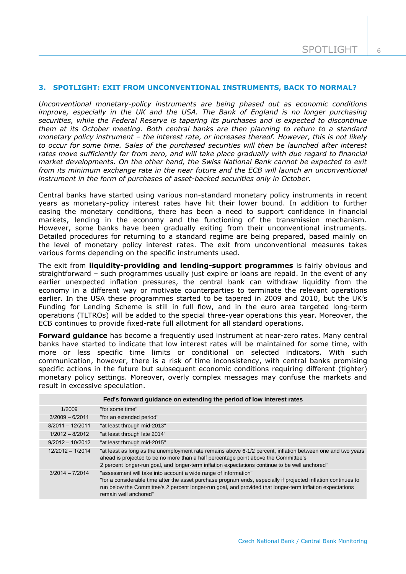### **3. SPOTLIGHT: EXIT FROM UNCONVENTIONAL INSTRUMENTS, BACK TO NORMAL?**

*Unconventional monetary-policy instruments are being phased out as economic conditions improve, especially in the UK and the USA. The Bank of England is no longer purchasing securities, while the Federal Reserve is tapering its purchases and is expected to discontinue them at its October meeting. Both central banks are then planning to return to a standard monetary policy instrument – the interest rate, or increases thereof. However, this is not likely to occur for some time. Sales of the purchased securities will then be launched after interest rates move sufficiently far from zero, and will take place gradually with due regard to financial market developments. On the other hand, the Swiss National Bank cannot be expected to exit from its minimum exchange rate in the near future and the ECB will launch an unconventional instrument in the form of purchases of asset-backed securities only in October.* 

Central banks have started using various non-standard monetary policy instruments in recent years as monetary-policy interest rates have hit their lower bound. In addition to further easing the monetary conditions, there has been a need to support confidence in financial markets, lending in the economy and the functioning of the transmission mechanism. However, some banks have been gradually exiting from their unconventional instruments. Detailed procedures for returning to a standard regime are being prepared, based mainly on the level of monetary policy interest rates. The exit from unconventional measures takes various forms depending on the specific instruments used.

The exit from **liquidity-providing and lending-support programmes** is fairly obvious and straightforward – such programmes usually just expire or loans are repaid. In the event of any earlier unexpected inflation pressures, the central bank can withdraw liquidity from the economy in a different way or motivate counterparties to terminate the relevant operations earlier. In the USA these programmes started to be tapered in 2009 and 2010, but the UK's Funding for Lending Scheme is still in full flow, and in the euro area targeted long-term operations (TLTROs) will be added to the special three-year operations this year. Moreover, the ECB continues to provide fixed-rate full allotment for all standard operations.

**Forward guidance** has become a frequently used instrument at near-zero rates. Many central banks have started to indicate that low interest rates will be maintained for some time, with more or less specific time limits or conditional on selected indicators. With such communication, however, there is a risk of time inconsistency, with central banks promising specific actions in the future but subsequent economic conditions requiring different (tighter) monetary policy settings. Moreover, overly complex messages may confuse the markets and result in excessive speculation.

| Fed's forward guidance on extending the period of low interest rates |                                                                                                                                                                                                                                                                                                                         |  |  |
|----------------------------------------------------------------------|-------------------------------------------------------------------------------------------------------------------------------------------------------------------------------------------------------------------------------------------------------------------------------------------------------------------------|--|--|
| 1/2009                                                               | "for some time"                                                                                                                                                                                                                                                                                                         |  |  |
| $3/2009 - 6/2011$                                                    | "for an extended period"                                                                                                                                                                                                                                                                                                |  |  |
| $8/2011 - 12/2011$                                                   | "at least through mid-2013"                                                                                                                                                                                                                                                                                             |  |  |
| $1/2012 - 8/2012$                                                    | "at least through late 2014"                                                                                                                                                                                                                                                                                            |  |  |
| $9/2012 - 10/2012$                                                   | "at least through mid-2015"                                                                                                                                                                                                                                                                                             |  |  |
| $12/2012 - 1/2014$                                                   | "at least as long as the unemployment rate remains above 6-1/2 percent, inflation between one and two years<br>ahead is projected to be no more than a half percentage point above the Committee's<br>2 percent longer-run goal, and longer-term inflation expectations continue to be well anchored"                   |  |  |
| $3/2014 - 7/2014$                                                    | "assessment will take into account a wide range of information"<br>"for a considerable time after the asset purchase program ends, especially if projected inflation continues to<br>run below the Committee's 2 percent longer-run goal, and provided that longer-term inflation expectations<br>remain well anchored" |  |  |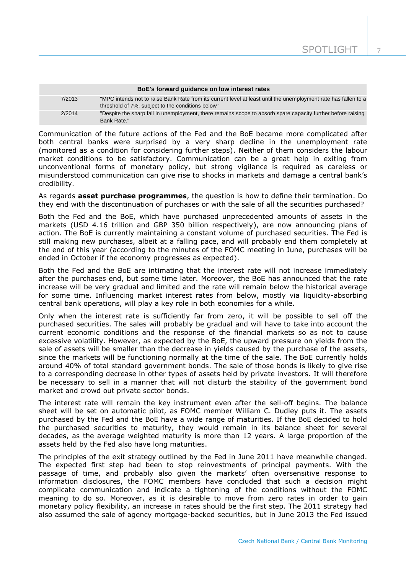| BoE's forward quidance on low interest rates |                                                                                                                                                                      |  |  |
|----------------------------------------------|----------------------------------------------------------------------------------------------------------------------------------------------------------------------|--|--|
| 7/2013                                       | "MPC intends not to raise Bank Rate from its current level at least until the unemployment rate has fallen to a<br>threshold of 7%, subject to the conditions below" |  |  |
| 2/2014                                       | "Despite the sharp fall in unemployment, there remains scope to absorb spare capacity further before raising<br>Bank Rate."                                          |  |  |

Communication of the future actions of the Fed and the BoE became more complicated after both central banks were surprised by a very sharp decline in the unemployment rate (monitored as a condition for considering further steps). Neither of them considers the labour market conditions to be satisfactory. Communication can be a great help in exiting from unconventional forms of monetary policy, but strong vigilance is required as careless or misunderstood communication can give rise to shocks in markets and damage a central bank's credibility.

As regards **asset purchase programmes**, the question is how to define their termination. Do they end with the discontinuation of purchases or with the sale of all the securities purchased?

Both the Fed and the BoE, which have purchased unprecedented amounts of assets in the markets (USD 4.16 trillion and GBP 350 billion respectively), are now announcing plans of action. The BoE is currently maintaining a constant volume of purchased securities. The Fed is still making new purchases, albeit at a falling pace, and will probably end them completely at the end of this year (according to the minutes of the FOMC meeting in June, purchases will be ended in October if the economy progresses as expected).

Both the Fed and the BoE are intimating that the interest rate will not increase immediately after the purchases end, but some time later. Moreover, the BoE has announced that the rate increase will be very gradual and limited and the rate will remain below the historical average for some time. Influencing market interest rates from below, mostly via liquidity-absorbing central bank operations, will play a key role in both economies for a while.

Only when the interest rate is sufficiently far from zero, it will be possible to sell off the purchased securities. The sales will probably be gradual and will have to take into account the current economic conditions and the response of the financial markets so as not to cause excessive volatility. However, as expected by the BoE, the upward pressure on yields from the sale of assets will be smaller than the decrease in yields caused by the purchase of the assets, since the markets will be functioning normally at the time of the sale. The BoE currently holds around 40% of total standard government bonds. The sale of those bonds is likely to give rise to a corresponding decrease in other types of assets held by private investors. It will therefore be necessary to sell in a manner that will not disturb the stability of the government bond market and crowd out private sector bonds.

The interest rate will remain the key instrument even after the sell-off begins. The balance sheet will be set on automatic pilot, as FOMC member William C. Dudley puts it. The assets purchased by the Fed and the BoE have a wide range of maturities. If the BoE decided to hold the purchased securities to maturity, they would remain in its balance sheet for several decades, as the average weighted maturity is more than 12 years. A large proportion of the assets held by the Fed also have long maturities.

The principles of the exit strategy outlined by the Fed in June 2011 have meanwhile changed. The expected first step had been to stop reinvestments of principal payments. With the passage of time, and probably also given the markets' often oversensitive response to information disclosures, the FOMC members have concluded that such a decision might complicate communication and indicate a tightening of the conditions without the FOMC meaning to do so. Moreover, as it is desirable to move from zero rates in order to gain monetary policy flexibility, an increase in rates should be the first step. The 2011 strategy had also assumed the sale of agency mortgage-backed securities, but in June 2013 the Fed issued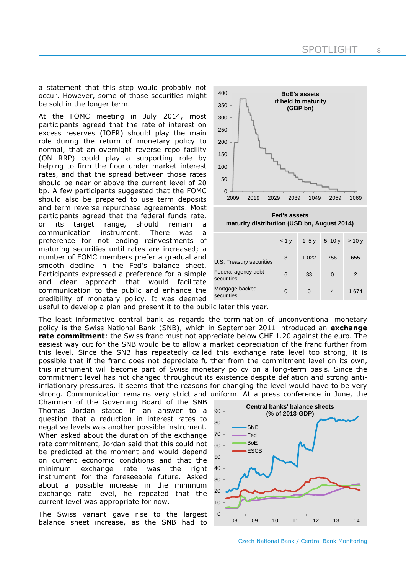SPOTLIGHT

a statement that this step would probably not occur. However, some of those securities might be sold in the longer term.

At the FOMC meeting in July 2014, most participants agreed that the rate of interest on excess reserves (IOER) should play the main role during the return of monetary policy to normal, that an overnight reverse repo facility (ON RRP) could play a supporting role by helping to firm the floor under market interest rates, and that the spread between those rates should be near or above the current level of 20 bp. A few participants suggested that the FOMC should also be prepared to use term deposits and term reverse repurchase agreements. Most participants agreed that the federal funds rate, or its target range, should remain a communication instrument. There was a preference for not ending reinvestments of maturing securities until rates are increased; a number of FOMC members prefer a gradual and smooth decline in the Fed's balance sheet. Participants expressed a preference for a simple and clear approach that would facilitate communication to the public and enhance the credibility of monetary policy. It was deemed



**Fed's assets maturity distribution (USD bn, August 2014)**

|                                   | $< 1$ V |         | $1 - 5y$ $5 - 10y$ | >10y  |
|-----------------------------------|---------|---------|--------------------|-------|
| U.S. Treasury securities          | 3       | 1 0 2 2 | 756                | 655   |
| Federal agency debt<br>securities | 6       | 33      | 0                  | 2     |
| Mortgage-backed<br>securities     | 0       | O       | 4                  | 1 674 |

useful to develop a plan and present it to the public later this year.

The least informative central bank as regards the termination of unconventional monetary policy is the Swiss National Bank (SNB), which in September 2011 introduced an **exchange rate commitment**: the Swiss franc must not appreciate below CHF 1.20 against the euro. The easiest way out for the SNB would be to allow a market depreciation of the franc further from this level. Since the SNB has repeatedly called this exchange rate level too strong, it is possible that if the franc does not depreciate further from the commitment level on its own, this instrument will become part of Swiss monetary policy on a long-term basis. Since the commitment level has not changed throughout its existence despite deflation and strong antiinflationary pressures, it seems that the reasons for changing the level would have to be very strong. Communication remains very strict and uniform. At a press conference in June, the

Chairman of the Governing Board of the SNB Thomas Jordan stated in an answer to a question that a reduction in interest rates to negative levels was another possible instrument. When asked about the duration of the exchange rate commitment, Jordan said that this could not be predicted at the moment and would depend on current economic conditions and that the minimum exchange rate was the right instrument for the foreseeable future. Asked about a possible increase in the minimum exchange rate level, he repeated that the current level was appropriate for now.

The Swiss variant gave rise to the largest balance sheet increase, as the SNB had to

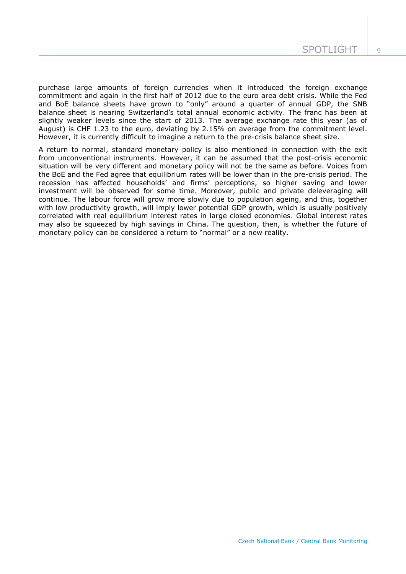purchase large amounts of foreign currencies when it introduced the foreign exchange commitment and again in the first half of 2012 due to the euro area debt crisis. While the Fed and BoE balance sheets have grown to "only" around a quarter of annual GDP, the SNB balance sheet is nearing Switzerland's total annual economic activity. The franc has been at slightly weaker levels since the start of 2013. The average exchange rate this year (as of August) is CHF 1.23 to the euro, deviating by 2.15% on average from the commitment level. However, it is currently difficult to imagine a return to the pre-crisis balance sheet size.

A return to normal, standard monetary policy is also mentioned in connection with the exit from unconventional instruments. However, it can be assumed that the post-crisis economic situation will be very different and monetary policy will not be the same as before. Voices from the BoE and the Fed agree that equilibrium rates will be lower than in the pre-crisis period. The recession has affected households' and firms' perceptions, so higher saving and lower investment will be observed for some time. Moreover, public and private deleveraging will continue. The labour force will grow more slowly due to population ageing, and this, together with low productivity growth, will imply lower potential GDP growth, which is usually positively correlated with real equilibrium interest rates in large closed economies. Global interest rates may also be squeezed by high savings in China. The question, then, is whether the future of monetary policy can be considered a return to "normal" or a new reality.